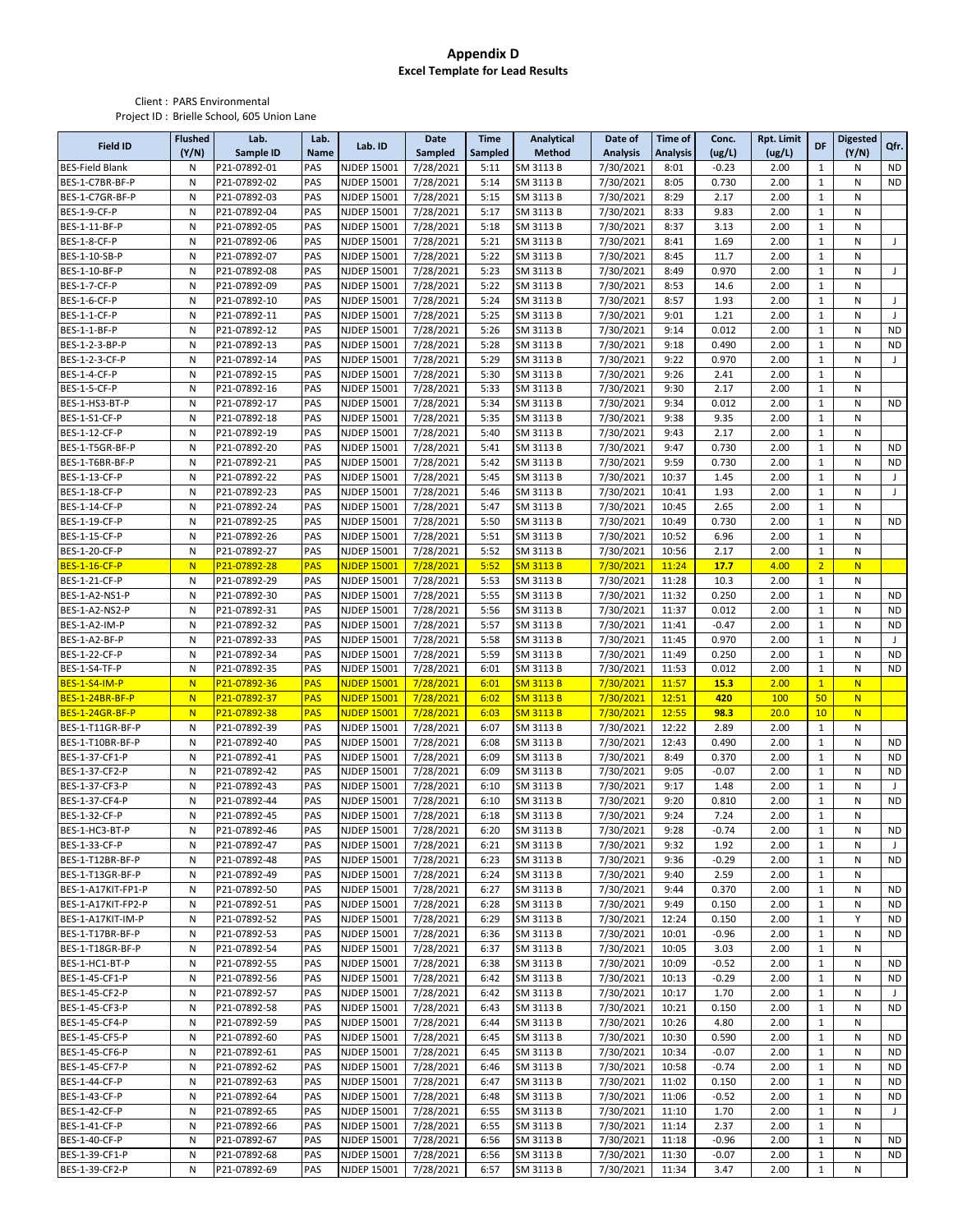## **Appendix D Excel Template for Lead Results**

Client : PARS Environmental Project ID : Brielle School, 605 Union Lane

| <b>Field ID</b>        | <b>Flushed</b><br>(Y/N) | Lab.<br>Sample ID | Lab.<br>Name | Lab. ID            | Date<br>Sampled | <b>Time</b><br>Sampled | <b>Analytical</b><br>Method | Date of<br><b>Analysis</b> | <b>Time of</b><br><b>Analysis</b> | Conc.<br>(ug/L) | Rpt. Limit<br>(ug/L) | DF             | <b>Digested</b><br>(Y/N) | Qfr.                     |
|------------------------|-------------------------|-------------------|--------------|--------------------|-----------------|------------------------|-----------------------------|----------------------------|-----------------------------------|-----------------|----------------------|----------------|--------------------------|--------------------------|
| <b>BES-Field Blank</b> | N                       | P21-07892-01      | PAS          | <b>NJDEP 15001</b> | 7/28/2021       | 5:11                   | SM 3113 B                   | 7/30/2021                  | 8:01                              | $-0.23$         | 2.00                 | $\mathbf{1}$   | Ν                        | <b>ND</b>                |
| BES-1-C7BR-BF-P        | N                       | P21-07892-02      | PAS          | <b>NJDEP 15001</b> | 7/28/2021       | 5:14                   | SM 3113 B                   | 7/30/2021                  | 8:05                              | 0.730           | 2.00                 | $\mathbf{1}$   | Ν                        | <b>ND</b>                |
| BES-1-C7GR-BF-P        | N                       | P21-07892-03      | PAS          | <b>NJDEP 15001</b> | 7/28/2021       | 5:15                   | SM 3113 B                   | 7/30/2021                  | 8:29                              | 2.17            | 2.00                 | $\mathbf{1}$   | N                        |                          |
| <b>BES-1-9-CF-P</b>    | N                       | P21-07892-04      | PAS          | <b>NJDEP 15001</b> | 7/28/2021       | 5:17                   | SM 3113 B                   | 7/30/2021                  | 8:33                              | 9.83            | 2.00                 | $\mathbf{1}$   | N                        |                          |
| BES-1-11-BF-P          | N                       | P21-07892-05      | PAS          | NJDEP 15001        | 7/28/2021       | 5:18                   | SM 3113 B                   | 7/30/2021                  | 8:37                              | 3.13            | 2.00                 | $\mathbf{1}$   | N                        |                          |
| BES-1-8-CF-P           | N                       | P21-07892-06      | PAS          | <b>NJDEP 15001</b> | 7/28/2021       | 5:21                   | SM 3113 B                   | 7/30/2021                  | 8:41                              | 1.69            | 2.00                 | $\mathbf{1}$   | N                        | J                        |
| BES-1-10-SB-P          | N                       | P21-07892-07      | PAS          | <b>NJDEP 15001</b> | 7/28/2021       | 5:22                   | SM 3113 B                   | 7/30/2021                  | 8:45                              | 11.7            | 2.00                 | $\mathbf 1$    | N                        |                          |
| BES-1-10-BF-P          | N                       | P21-07892-08      | PAS          | <b>NJDEP 15001</b> | 7/28/2021       | 5:23                   | SM 3113 B                   | 7/30/2021                  | 8:49                              | 0.970           | 2.00                 | $\mathbf{1}$   | N                        | J                        |
| BES-1-7-CF-P           | ${\sf N}$               | P21-07892-09      | PAS          | NJDEP 15001        | 7/28/2021       | 5:22                   | SM 3113 B                   | 7/30/2021                  | 8:53                              | 14.6            | 2.00                 | $\mathbf{1}$   | N                        |                          |
| <b>BES-1-6-CF-P</b>    | N                       | P21-07892-10      | PAS          | <b>NJDEP 15001</b> | 7/28/2021       | 5:24                   | SM 3113 B                   | 7/30/2021                  | 8:57                              | 1.93            | 2.00                 | $\mathbf{1}$   | Ν                        | J                        |
| <b>BES-1-1-CF-P</b>    | N                       | P21-07892-11      | PAS          | <b>NJDEP 15001</b> | 7/28/2021       | 5:25                   | SM 3113 B                   | 7/30/2021                  | 9:01                              | 1.21            | 2.00                 | $\mathbf{1}$   | N                        | $\overline{\phantom{a}}$ |
| BES-1-1-BF-P           | N                       | P21-07892-12      | PAS          | <b>NJDEP 15001</b> | 7/28/2021       | 5:26                   | SM 3113 B                   | 7/30/2021                  | 9:14                              | 0.012           | 2.00                 | $\mathbf 1$    | N                        | <b>ND</b>                |
| BES-1-2-3-BP-P         | N                       | P21-07892-13      | PAS          | <b>NJDEP 15001</b> | 7/28/2021       | 5:28                   | SM 3113 B                   | 7/30/2021                  | 9:18                              | 0.490           | 2.00                 | $\mathbf{1}$   | N                        | <b>ND</b>                |
| BES-1-2-3-CF-P         | N                       | P21-07892-14      | PAS          | <b>NJDEP 15001</b> | 7/28/2021       | 5:29                   | SM 3113 B                   | 7/30/2021                  | 9:22                              | 0.970           | 2.00                 | $\mathbf{1}$   | Ν                        | J                        |
| <b>BES-1-4-CF-P</b>    | ${\sf N}$               | P21-07892-15      | PAS          | NJDEP 15001        | 7/28/2021       | 5:30                   | SM 3113 B                   | 7/30/2021                  | 9:26                              | 2.41            | 2.00                 | $\mathbf{1}$   | N                        |                          |
| <b>BES-1-5-CF-P</b>    | N                       | P21-07892-16      | PAS          | <b>NJDEP 15001</b> | 7/28/2021       | 5:33                   | SM 3113 B                   | 7/30/2021                  | 9:30                              | 2.17            | 2.00                 | $\mathbf{1}$   | Ν                        |                          |
| BES-1-HS3-BT-P         | N                       | P21-07892-17      | PAS          | <b>NJDEP 15001</b> | 7/28/2021       | 5:34                   | SM 3113 B                   | 7/30/2021                  | 9:34                              | 0.012           | 2.00                 | $\mathbf{1}$   | N                        | <b>ND</b>                |
| BES-1-S1-CF-P          | N                       | P21-07892-18      | PAS          | <b>NJDEP 15001</b> | 7/28/2021       | 5:35                   | SM 3113 B                   | 7/30/2021                  | 9:38                              | 9.35            | 2.00                 | $\mathbf 1$    | N                        |                          |
| BES-1-12-CF-P          | N                       | P21-07892-19      | PAS          | <b>NJDEP 15001</b> | 7/28/2021       | 5:40                   | SM 3113 B                   | 7/30/2021                  | 9:43                              | 2.17            | 2.00                 | $\mathbf{1}$   | N                        |                          |
| BES-1-T5GR-BF-P        | N                       | P21-07892-20      | PAS          | <b>NJDEP 15001</b> | 7/28/2021       | 5:41                   | SM 3113 B                   | 7/30/2021                  | 9:47                              | 0.730           | 2.00                 | $\mathbf{1}$   | N                        | <b>ND</b>                |
| BES-1-T6BR-BF-P        | N                       | P21-07892-21      | PAS          | <b>NJDEP 15001</b> | 7/28/2021       | 5:42                   | SM 3113 B                   | 7/30/2021                  | 9:59                              | 0.730           | 2.00                 | $\mathbf{1}$   | Ν                        | ND                       |
| BES-1-13-CF-P          | N                       | P21-07892-22      | PAS          | <b>NJDEP 15001</b> | 7/28/2021       | 5:45                   | SM 3113 B                   | 7/30/2021                  | 10:37                             | 1.45            | 2.00                 | $\mathbf{1}$   | N                        | J                        |
| BES-1-18-CF-P          | N                       | P21-07892-23      | PAS          | <b>NJDEP 15001</b> | 7/28/2021       | 5:46                   | SM 3113 B                   | 7/30/2021                  | 10:41                             | 1.93            | 2.00                 | $\mathbf{1}$   | N                        | $\overline{\phantom{a}}$ |
| BES-1-14-CF-P          | ${\sf N}$               | P21-07892-24      | PAS          | <b>NJDEP 15001</b> | 7/28/2021       | 5:47                   | SM 3113 B                   | 7/30/2021                  | 10:45                             | 2.65            | 2.00                 | $\mathbf{1}$   | N                        |                          |
| BES-1-19-CF-P          | N                       | P21-07892-25      | PAS          | <b>NJDEP 15001</b> | 7/28/2021       | 5:50                   | SM 3113 B                   | 7/30/2021                  | 10:49                             | 0.730           | 2.00                 | $\mathbf{1}$   | N                        | <b>ND</b>                |
| BES-1-15-CF-P          | N                       | P21-07892-26      | PAS          | <b>NJDEP 15001</b> | 7/28/2021       | 5:51                   | SM 3113 B                   | 7/30/2021                  | 10:52                             | 6.96            | 2.00                 | $\mathbf 1$    | Ν                        |                          |
| BES-1-20-CF-P          | N                       | P21-07892-27      | PAS          | <b>NJDEP 15001</b> | 7/28/2021       | 5:52                   | SM 3113 B                   | 7/30/2021                  | 10:56                             | 2.17            | 2.00                 | $\mathbf{1}$   | N                        |                          |
| <b>BES-1-16-CF-P</b>   | N                       | P21-07892-28      | <b>PAS</b>   | <b>NJDEP 15001</b> | 7/28/2021       | 5:52                   | <b>SM 3113 B</b>            | 7/30/2021                  | 11:24                             | 17.7            | 4.00                 | $\overline{2}$ | N                        |                          |
| BES-1-21-CF-P          | N                       | P21-07892-29      | PAS          | <b>NJDEP 15001</b> | 7/28/2021       | 5:53                   | SM 3113 B                   | 7/30/2021                  | 11:28                             | 10.3            | 2.00                 | $\mathbf{1}$   | N                        |                          |
| BES-1-A2-NS1-P         | ${\sf N}$               | P21-07892-30      | PAS          | <b>NJDEP 15001</b> | 7/28/2021       | 5:55                   | SM 3113 B                   | 7/30/2021                  | 11:32                             | 0.250           | 2.00                 | $\mathbf{1}$   | N                        | <b>ND</b>                |
| BES-1-A2-NS2-P         | N                       | P21-07892-31      | PAS          | <b>NJDEP 15001</b> | 7/28/2021       | 5:56                   | SM 3113 B                   | 7/30/2021                  | 11:37                             | 0.012           | 2.00                 | $\mathbf 1$    | N                        | <b>ND</b>                |
| BES-1-A2-IM-P          | N                       | P21-07892-32      | PAS          | NJDEP 15001        | 7/28/2021       | 5:57                   | SM 3113 B                   | 7/30/2021                  | 11:41                             | $-0.47$         | 2.00                 | $\mathbf 1$    | Ν                        | <b>ND</b>                |
| BES-1-A2-BF-P          | N                       | P21-07892-33      | PAS          | <b>NJDEP 15001</b> | 7/28/2021       | 5:58                   | SM 3113 B                   | 7/30/2021                  | 11:45                             | 0.970           | 2.00                 | $\mathbf{1}$   | Ν                        | J                        |
| BES-1-22-CF-P          | ${\sf N}$               | P21-07892-34      | PAS          | NJDEP 15001        | 7/28/2021       | 5:59                   | SM 3113 B                   | 7/30/2021                  | 11:49                             | 0.250           | 2.00                 | $\mathbf{1}$   | N                        | <b>ND</b>                |
| BES-1-S4-TF-P          | N                       | P21-07892-35      | PAS          | <b>NJDEP 15001</b> | 7/28/2021       | 6:01                   | SM 3113 B                   | 7/30/2021                  | 11:53                             | 0.012           | 2.00                 | $\mathbf{1}$   | Ν                        | <b>ND</b>                |
| <b>BES-1-S4-IM-P</b>   | N                       | P21-07892-36      | <b>PAS</b>   | <b>NJDEP 15001</b> | 7/28/2021       | 6:01                   | <b>SM 3113 B</b>            | 7/30/2021                  | 11:57                             | 15.3            | 2.00                 | $\mathbf{1}$   | N                        |                          |
| BES-1-24BR-BF-P        | N                       | P21-07892-37      | <b>PAS</b>   | <b>NJDEP 15001</b> | 7/28/2021       | 6:02                   | <b>SM 3113 B</b>            | 7/30/2021                  | 12:51                             | 420             | 100                  | 50             | N                        |                          |
| BES-1-24GR-BF-P        | N                       | P21-07892-38      | <b>PAS</b>   | <b>NJDEP 15001</b> | 7/28/2021       | 6:03                   | <b>SM 3113 B</b>            | 7/30/2021                  | 12:55                             | 98.3            | 20.0                 | 10             | N                        |                          |
| BES-1-T11GR-BF-P       | N                       | P21-07892-39      | PAS          | <b>NJDEP 15001</b> | 7/28/2021       | 6:07                   | SM 3113 B                   | 7/30/2021                  | 12:22                             | 2.89            | 2.00                 | $\mathbf{1}$   | Ν                        |                          |
| BES-1-T10BR-BF-P       | N                       | P21-07892-40      | PAS          | NJDEP 15001        | 7/28/2021       | 6:08                   | SM 3113 B                   | 7/30/2021                  | 12:43                             | 0.490           | 2.00                 | $\mathbf{1}$   | N                        | <b>ND</b>                |
| BES-1-37-CF1-P         | N                       | P21-07892-41      | PAS          | NJDEP 15001        | 7/28/2021       | 6:09                   | SM 3113 B                   | 7/30/2021                  | 8:49                              | 0.370           | 2.00                 | $\mathbf{1}$   | N                        | <b>ND</b>                |
| BES-1-37-CF2-P         | N                       | P21-07892-42      | PAS          | <b>NJDEP 15001</b> | 7/28/2021       | 6:09                   | SM 3113 B                   | 7/30/2021                  | 9:05                              | $-0.07$         | 2.00                 | $\mathbf{1}$   | N                        | <b>ND</b>                |
| BES-1-37-CF3-P         | N                       | P21-07892-43      | PAS          | <b>NJDEP 15001</b> | 7/28/2021       | 6:10                   | SM 3113 B                   | 7/30/2021                  | 9:17                              | 1.48            | 2.00                 | $\mathbf{1}$   | N                        | J                        |
| BES-1-37-CF4-P         | N                       | P21-07892-44      | PAS          | <b>NJDEP 15001</b> | 7/28/2021       | 6:10                   | SM 3113 B                   | 7/30/2021                  | 9:20                              | 0.810           | 2.00                 | $\mathbf{1}$   | N                        | <b>ND</b>                |
| BES-1-32-CF-P          | N                       | P21-07892-45      | PAS          | <b>NJDEP 15001</b> | 7/28/2021       | 6:18                   | SM 3113 B                   | 7/30/2021                  | 9:24                              | 7.24            | 2.00                 | $\mathbf{1}$   | N                        |                          |
| BES-1-HC3-BT-P         | N                       | P21-07892-46      | PAS          | NJDEP 15001        | 7/28/2021       | 6:20                   | SM 3113 B                   | 7/30/2021                  | 9:28                              | $-0.74$         | 2.00                 | 1              | N                        | <b>ND</b>                |
| BES-1-33-CF-P          | N                       | P21-07892-47      | PAS          | <b>NJDEP 15001</b> | 7/28/2021       | 6:21                   | SM 3113 B                   | 7/30/2021                  | 9:32                              | 1.92            | 2.00                 | $\mathbf 1$    | Ν                        | J                        |
| BES-1-T12BR-BF-P       | N                       | P21-07892-48      | PAS          | <b>NJDEP 15001</b> | 7/28/2021       | 6:23                   | SM 3113 B                   | 7/30/2021                  | 9:36                              | $-0.29$         | 2.00                 | $\mathbf{1}$   | Ν                        | ND                       |
| BES-1-T13GR-BF-P       | N                       | P21-07892-49      | PAS          | <b>NJDEP 15001</b> | 7/28/2021       | 6:24                   | SM 3113 B                   | 7/30/2021                  | 9:40                              | 2.59            | 2.00                 | $\mathbf{1}$   | Ν                        |                          |
| BES-1-A17KIT-FP1-P     | N                       | P21-07892-50      | PAS          | <b>NJDEP 15001</b> | 7/28/2021       | 6:27                   | SM 3113 B                   | 7/30/2021                  | 9:44                              | 0.370           | 2.00                 | $\mathbf{1}$   | Ν                        | <b>ND</b>                |
| BES-1-A17KIT-FP2-P     | N                       | P21-07892-51      | PAS          | <b>NJDEP 15001</b> | 7/28/2021       | 6:28                   | SM 3113 B                   | 7/30/2021                  | 9:49                              | 0.150           | 2.00                 | $\mathbf{1}$   | Ν                        | <b>ND</b>                |
| BES-1-A17KIT-IM-P      | N                       | P21-07892-52      | PAS          | NJDEP 15001        | 7/28/2021       | 6:29                   | SM 3113 B                   | 7/30/2021                  | 12:24                             | 0.150           | 2.00                 | $\mathbf 1$    | Υ                        | <b>ND</b>                |
| BES-1-T17BR-BF-P       | N                       | P21-07892-53      | PAS          | NJDEP 15001        | 7/28/2021       | 6:36                   | SM 3113 B                   | 7/30/2021                  | 10:01                             | $-0.96$         | 2.00                 | $\mathbf{1}$   | Ν                        | ND                       |
| BES-1-T18GR-BF-P       | N                       | P21-07892-54      | PAS          | <b>NJDEP 15001</b> | 7/28/2021       | 6:37                   | SM 3113 B                   | 7/30/2021                  | 10:05                             | 3.03            | 2.00                 | $\mathbf{1}$   | Ν                        |                          |
| BES-1-HC1-BT-P         | N                       | P21-07892-55      | PAS          | <b>NJDEP 15001</b> | 7/28/2021       | 6:38                   | SM 3113 B                   | 7/30/2021                  | 10:09                             | $-0.52$         | 2.00                 | $\mathbf{1}$   | Ν                        | ND                       |
| BES-1-45-CF1-P         | N                       | P21-07892-56      | PAS          | <b>NJDEP 15001</b> | 7/28/2021       | 6:42                   | SM 3113 B                   | 7/30/2021                  | 10:13                             | $-0.29$         | 2.00                 | $\mathbf{1}$   | Ν                        | ND                       |
| BES-1-45-CF2-P         | N                       | P21-07892-57      | PAS          | <b>NJDEP 15001</b> | 7/28/2021       | 6:42                   | SM 3113 B                   | 7/30/2021                  | 10:17                             | 1.70            | 2.00                 | $\mathbf{1}$   | N                        | J                        |
| BES-1-45-CF3-P         | N                       | P21-07892-58      | PAS          | NJDEP 15001        | 7/28/2021       | 6:43                   | SM 3113 B                   | 7/30/2021                  | 10:21                             | 0.150           | 2.00                 | $\mathbf{1}$   | Ν                        | ND                       |
| BES-1-45-CF4-P         | N                       | P21-07892-59      | PAS          | NJDEP 15001        | 7/28/2021       | 6:44                   | SM 3113 B                   | 7/30/2021                  | 10:26                             | 4.80            | 2.00                 | $\mathbf{1}$   | Ν                        |                          |
| BES-1-45-CF5-P         | N                       | P21-07892-60      | PAS          | <b>NJDEP 15001</b> | 7/28/2021       | 6:45                   | SM 3113 B                   | 7/30/2021                  | 10:30                             | 0.590           | 2.00                 | $\mathbf{1}$   | Ν                        | <b>ND</b>                |
| BES-1-45-CF6-P         | N                       | P21-07892-61      | PAS          | <b>NJDEP 15001</b> | 7/28/2021       | 6:45                   | SM 3113 B                   | 7/30/2021                  | 10:34                             | $-0.07$         | 2.00                 | $\mathbf{1}$   | Ν                        | ND                       |
| BES-1-45-CF7-P         | N                       | P21-07892-62      | PAS          | NJDEP 15001        | 7/28/2021       | 6:46                   | SM 3113 B                   | 7/30/2021                  | 10:58                             | $-0.74$         | 2.00                 | $\mathbf{1}$   | Ν                        | <b>ND</b>                |
| BES-1-44-CF-P          | N                       | P21-07892-63      | PAS          | NJDEP 15001        | 7/28/2021       | 6:47                   | SM 3113 B                   | 7/30/2021                  | 11:02                             | 0.150           | 2.00                 | $\mathbf 1$    | N                        | ND                       |
| BES-1-43-CF-P          | N                       | P21-07892-64      | PAS          | <b>NJDEP 15001</b> | 7/28/2021       | 6:48                   | SM 3113 B                   | 7/30/2021                  | 11:06                             | $-0.52$         | 2.00                 | $\mathbf 1$    | N                        | ND                       |
| BES-1-42-CF-P          | N                       | P21-07892-65      | PAS          | NJDEP 15001        | 7/28/2021       | 6:55                   | SM 3113 B                   | 7/30/2021                  | 11:10                             | 1.70            | 2.00                 | $\mathbf{1}$   | Ν                        | J                        |
| BES-1-41-CF-P          | N                       | P21-07892-66      | PAS          | NJDEP 15001        | 7/28/2021       | 6:55                   | SM 3113 B                   | 7/30/2021                  | 11:14                             | 2.37            | 2.00                 | $\mathbf 1$    | Ν                        |                          |
| BES-1-40-CF-P          | N                       | P21-07892-67      | PAS          | <b>NJDEP 15001</b> | 7/28/2021       | 6:56                   | SM 3113 B                   | 7/30/2021                  | 11:18                             | $-0.96$         | 2.00                 | $\mathbf{1}$   | Ν                        | ND                       |
| BES-1-39-CF1-P         | N                       | P21-07892-68      | PAS          | <b>NJDEP 15001</b> | 7/28/2021       | 6:56                   | SM 3113 B                   | 7/30/2021                  | 11:30                             | $-0.07$         | 2.00                 | $\mathbf 1$    | N                        | ND                       |
| BES-1-39-CF2-P         | Ν                       | P21-07892-69      | PAS          | <b>NJDEP 15001</b> | 7/28/2021       | 6:57                   | SM 3113 B                   | 7/30/2021                  | 11:34                             | 3.47            | 2.00                 | $\mathbf{1}$   | N                        |                          |